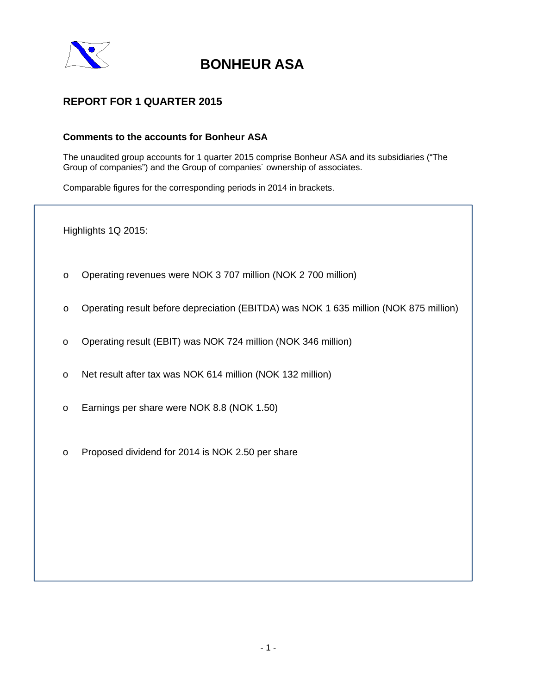

## **REPORT FOR 1 QUARTER 2015**

## **Comments to the accounts for Bonheur ASA**

The unaudited group accounts for 1 quarter 2015 comprise Bonheur ASA and its subsidiaries ("The Group of companies") and the Group of companies´ ownership of associates.

Comparable figures for the corresponding periods in 2014 in brackets.

Highlights 1Q 2015:

- o Operating revenues were NOK 3 707 million (NOK 2 700 million)
- o Operating result before depreciation (EBITDA) was NOK 1 635 million (NOK 875 million)
- o Operating result (EBIT) was NOK 724 million (NOK 346 million)
- o Net result after tax was NOK 614 million (NOK 132 million)
- o Earnings per share were NOK 8.8 (NOK 1.50)
- o Proposed dividend for 2014 is NOK 2.50 per share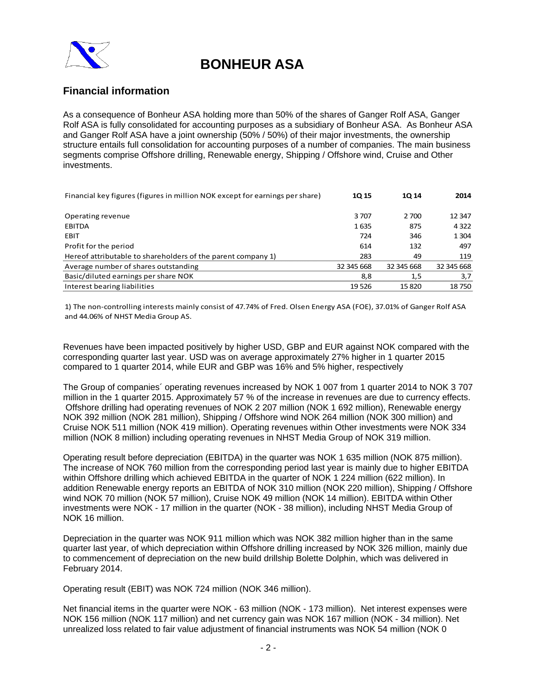

## **Financial information**

As a consequence of Bonheur ASA holding more than 50% of the shares of Ganger Rolf ASA, Ganger Rolf ASA is fully consolidated for accounting purposes as a subsidiary of Bonheur ASA. As Bonheur ASA and Ganger Rolf ASA have a joint ownership (50% / 50%) of their major investments, the ownership structure entails full consolidation for accounting purposes of a number of companies. The main business segments comprise Offshore drilling, Renewable energy, Shipping / Offshore wind, Cruise and Other investments.

| Financial key figures (figures in million NOK except for earnings per share) |            | <b>1014</b> | 2014       |
|------------------------------------------------------------------------------|------------|-------------|------------|
|                                                                              |            |             |            |
| Operating revenue                                                            | 3707       | 2 700       | 12 347     |
| <b>EBITDA</b>                                                                | 1635       | 875         | 4 3 2 2    |
| <b>EBIT</b>                                                                  | 724        | 346         | 1 3 0 4    |
| Profit for the period                                                        | 614        | 132         | 497        |
| Hereof attributable to shareholders of the parent company 1)                 | 283        | 49          | 119        |
| Average number of shares outstanding                                         | 32 345 668 | 32 345 668  | 32 345 668 |
| Basic/diluted earnings per share NOK                                         | 8,8        | 1,5         | 3,7        |
| Interest bearing liabilities                                                 | 19526      | 15820       | 18750      |

1) The non‐controlling interests mainly consist of 47.74% of Fred. Olsen Energy ASA (FOE), 37.01% of Ganger Rolf ASA and 44.06% of NHST Media Group AS.

Revenues have been impacted positively by higher USD, GBP and EUR against NOK compared with the corresponding quarter last year. USD was on average approximately 27% higher in 1 quarter 2015 compared to 1 quarter 2014, while EUR and GBP was 16% and 5% higher, respectively

The Group of companies´ operating revenues increased by NOK 1 007 from 1 quarter 2014 to NOK 3 707 million in the 1 quarter 2015. Approximately 57 % of the increase in revenues are due to currency effects. Offshore drilling had operating revenues of NOK 2 207 million (NOK 1 692 million), Renewable energy NOK 392 million (NOK 281 million), Shipping / Offshore wind NOK 264 million (NOK 300 million) and Cruise NOK 511 million (NOK 419 million). Operating revenues within Other investments were NOK 334 million (NOK 8 million) including operating revenues in NHST Media Group of NOK 319 million.

Operating result before depreciation (EBITDA) in the quarter was NOK 1 635 million (NOK 875 million). The increase of NOK 760 million from the corresponding period last year is mainly due to higher EBITDA within Offshore drilling which achieved EBITDA in the quarter of NOK 1 224 million (622 million). In addition Renewable energy reports an EBITDA of NOK 310 million (NOK 220 million), Shipping / Offshore wind NOK 70 million (NOK 57 million), Cruise NOK 49 million (NOK 14 million). EBITDA within Other investments were NOK - 17 million in the quarter (NOK - 38 million), including NHST Media Group of NOK 16 million.

Depreciation in the quarter was NOK 911 million which was NOK 382 million higher than in the same quarter last year, of which depreciation within Offshore drilling increased by NOK 326 million, mainly due to commencement of depreciation on the new build drillship Bolette Dolphin, which was delivered in February 2014.

Operating result (EBIT) was NOK 724 million (NOK 346 million).

Net financial items in the quarter were NOK - 63 million (NOK - 173 million). Net interest expenses were NOK 156 million (NOK 117 million) and net currency gain was NOK 167 million (NOK - 34 million). Net unrealized loss related to fair value adjustment of financial instruments was NOK 54 million (NOK 0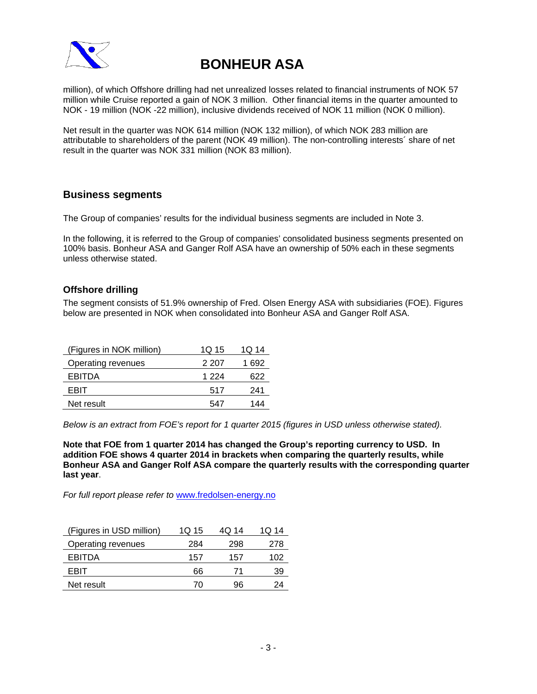

million), of which Offshore drilling had net unrealized losses related to financial instruments of NOK 57 million while Cruise reported a gain of NOK 3 million. Other financial items in the quarter amounted to NOK - 19 million (NOK -22 million), inclusive dividends received of NOK 11 million (NOK 0 million).

Net result in the quarter was NOK 614 million (NOK 132 million), of which NOK 283 million are attributable to shareholders of the parent (NOK 49 million). The non-controlling interests´ share of net result in the quarter was NOK 331 million (NOK 83 million).

## **Business segments**

The Group of companies' results for the individual business segments are included in Note 3.

In the following, it is referred to the Group of companies' consolidated business segments presented on 100% basis. Bonheur ASA and Ganger Rolf ASA have an ownership of 50% each in these segments unless otherwise stated.

### **Offshore drilling**

The segment consists of 51.9% ownership of Fred. Olsen Energy ASA with subsidiaries (FOE). Figures below are presented in NOK when consolidated into Bonheur ASA and Ganger Rolf ASA.

| (Figures in NOK million) | 1Q 15 | 1Q 14 |
|--------------------------|-------|-------|
| Operating revenues       | 2 207 | 1 692 |
| EBITDA                   | 1 224 | 622   |
| FRIT                     | 517   | 241   |
| Net result               | 547   | 144   |

*Below is an extract from FOE's report for 1 quarter 2015 (figures in USD unless otherwise stated).* 

**Note that FOE from 1 quarter 2014 has changed the Group's reporting currency to USD. In addition FOE shows 4 quarter 2014 in brackets when comparing the quarterly results, while Bonheur ASA and Ganger Rolf ASA compare the quarterly results with the corresponding quarter last year**.

*For full report please refer to* www.fredolsen-energy.no

| (Figures in USD million) | 1Q 15 | 4Q 14 | 1Q 14 |
|--------------------------|-------|-------|-------|
| Operating revenues       | 284   | 298   | 278   |
| EBITDA                   | 157   | 157   | 102   |
| FBIT                     | 66    | 71    | 39    |
| Net result               | 70    | 96    | ') Д  |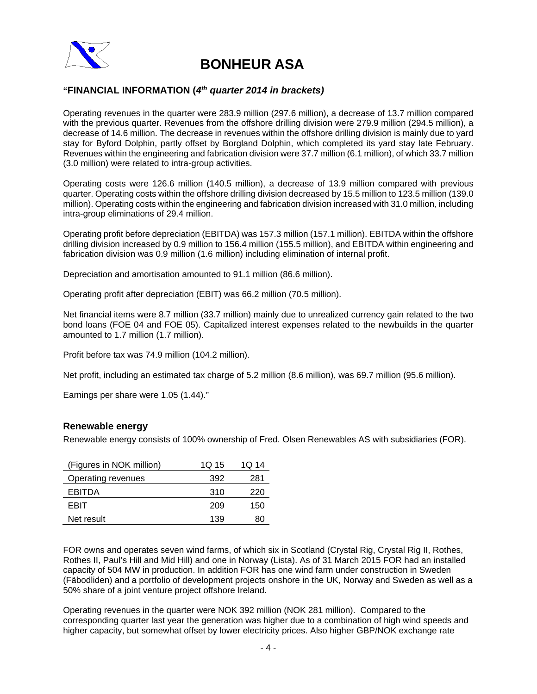

## **"FINANCIAL INFORMATION (***4th quarter 2014 in brackets)*

Operating revenues in the quarter were 283.9 million (297.6 million), a decrease of 13.7 million compared with the previous quarter. Revenues from the offshore drilling division were 279.9 million (294.5 million), a decrease of 14.6 million. The decrease in revenues within the offshore drilling division is mainly due to yard stay for Byford Dolphin, partly offset by Borgland Dolphin, which completed its yard stay late February. Revenues within the engineering and fabrication division were 37.7 million (6.1 million), of which 33.7 million (3.0 million) were related to intra-group activities.

Operating costs were 126.6 million (140.5 million), a decrease of 13.9 million compared with previous quarter. Operating costs within the offshore drilling division decreased by 15.5 million to 123.5 million (139.0 million). Operating costs within the engineering and fabrication division increased with 31.0 million, including intra-group eliminations of 29.4 million.

Operating profit before depreciation (EBITDA) was 157.3 million (157.1 million). EBITDA within the offshore drilling division increased by 0.9 million to 156.4 million (155.5 million), and EBITDA within engineering and fabrication division was 0.9 million (1.6 million) including elimination of internal profit.

Depreciation and amortisation amounted to 91.1 million (86.6 million).

Operating profit after depreciation (EBIT) was 66.2 million (70.5 million).

Net financial items were 8.7 million (33.7 million) mainly due to unrealized currency gain related to the two bond loans (FOE 04 and FOE 05). Capitalized interest expenses related to the newbuilds in the quarter amounted to 1.7 million (1.7 million).

Profit before tax was 74.9 million (104.2 million).

Net profit, including an estimated tax charge of 5.2 million (8.6 million), was 69.7 million (95.6 million).

Earnings per share were 1.05 (1.44)."

### **Renewable energy**

Renewable energy consists of 100% ownership of Fred. Olsen Renewables AS with subsidiaries (FOR).

| (Figures in NOK million) | 1Q 15 | 1Q 14 |
|--------------------------|-------|-------|
| Operating revenues       | 392   | 281   |
| EBITDA                   | 310   | 220   |
| FBIT                     | 209   | 150   |
| Net result               | 139   | 80    |

FOR owns and operates seven wind farms, of which six in Scotland (Crystal Rig, Crystal Rig II, Rothes, Rothes II, Paul's Hill and Mid Hill) and one in Norway (Lista). As of 31 March 2015 FOR had an installed capacity of 504 MW in production. In addition FOR has one wind farm under construction in Sweden (Fäbodliden) and a portfolio of development projects onshore in the UK, Norway and Sweden as well as a 50% share of a joint venture project offshore Ireland.

Operating revenues in the quarter were NOK 392 million (NOK 281 million). Compared to the corresponding quarter last year the generation was higher due to a combination of high wind speeds and higher capacity, but somewhat offset by lower electricity prices. Also higher GBP/NOK exchange rate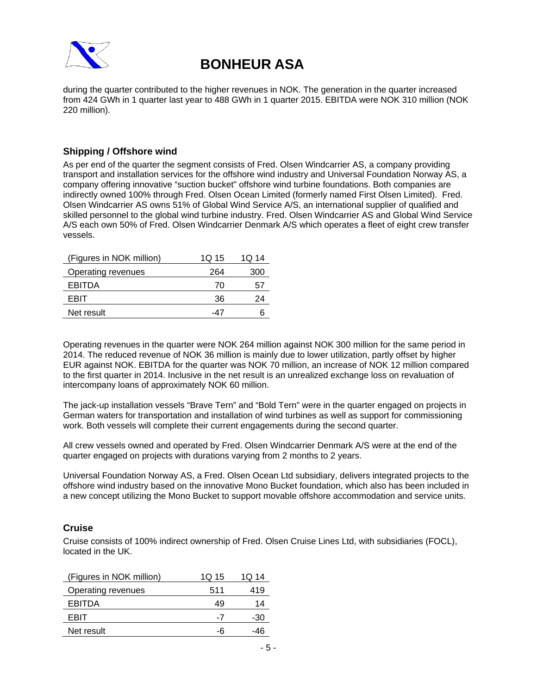

during the quarter contributed to the higher revenues in NOK. The generation in the quarter increased from 424 GWh in 1 quarter last year to 488 GWh in 1 quarter 2015. EBITDA were NOK 310 million (NOK 220 million).

## **Shipping / Offshore wind**

As per end of the quarter the segment consists of Fred. Olsen Windcarrier AS, a company providing transport and installation services for the offshore wind industry and Universal Foundation Norway AS, a company offering innovative "suction bucket" offshore wind turbine foundations. Both companies are indirectly owned 100% through Fred. Olsen Ocean Limited (formerly named First Olsen Limited). Fred. Olsen Windcarrier AS owns 51% of Global Wind Service A/S, an international supplier of qualified and skilled personnel to the global wind turbine industry. Fred. Olsen Windcarrier AS and Global Wind Service A/S each own 50% of Fred. Olsen Windcarrier Denmark A/S which operates a fleet of eight crew transfer vessels.

| (Figures in NOK million) | 1Q 15 | 1Q 14 |
|--------------------------|-------|-------|
| Operating revenues       | 264   | 300   |
| EBITDA                   | 70    | 51    |
| FRIT                     | 36    | 24    |
| Net result               | -47   |       |

Operating revenues in the quarter were NOK 264 million against NOK 300 million for the same period in 2014. The reduced revenue of NOK 36 million is mainly due to lower utilization, partly offset by higher EUR against NOK. EBITDA for the quarter was NOK 70 million, an increase of NOK 12 million compared to the first quarter in 2014. Inclusive in the net result is an unrealized exchange loss on revaluation of intercompany loans of approximately NOK 60 million.

The jack-up installation vessels "Brave Tern" and "Bold Tern" were in the quarter engaged on projects in German waters for transportation and installation of wind turbines as well as support for commissioning work. Both vessels will complete their current engagements during the second quarter.

All crew vessels owned and operated by Fred. Olsen Windcarrier Denmark A/S were at the end of the quarter engaged on projects with durations varying from 2 months to 2 years.

Universal Foundation Norway AS, a Fred. Olsen Ocean Ltd subsidiary, delivers integrated projects to the offshore wind industry based on the innovative Mono Bucket foundation, which also has been included in a new concept utilizing the Mono Bucket to support movable offshore accommodation and service units.

### **Cruise**

Cruise consists of 100% indirect ownership of Fred. Olsen Cruise Lines Ltd, with subsidiaries (FOCL), located in the UK.

| (Figures in NOK million) | 1Q 15 | 1Q 14 |
|--------------------------|-------|-------|
| Operating revenues       | 511   | 419   |
| EBITDA                   | 49    | 14    |
| FRIT                     | -7    | -30   |
| Net result               |       | -46   |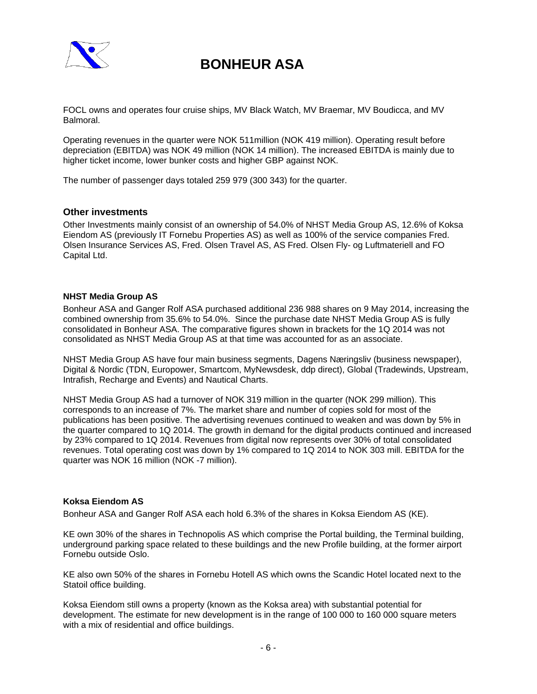

FOCL owns and operates four cruise ships, MV Black Watch, MV Braemar, MV Boudicca, and MV Balmoral.

Operating revenues in the quarter were NOK 511million (NOK 419 million). Operating result before depreciation (EBITDA) was NOK 49 million (NOK 14 million). The increased EBITDA is mainly due to higher ticket income, lower bunker costs and higher GBP against NOK.

The number of passenger days totaled 259 979 (300 343) for the quarter.

### **Other investments**

Other Investments mainly consist of an ownership of 54.0% of NHST Media Group AS, 12.6% of Koksa Eiendom AS (previously IT Fornebu Properties AS) as well as 100% of the service companies Fred. Olsen Insurance Services AS, Fred. Olsen Travel AS, AS Fred. Olsen Fly- og Luftmateriell and FO Capital Ltd.

### **NHST Media Group AS**

Bonheur ASA and Ganger Rolf ASA purchased additional 236 988 shares on 9 May 2014, increasing the combined ownership from 35.6% to 54.0%. Since the purchase date NHST Media Group AS is fully consolidated in Bonheur ASA. The comparative figures shown in brackets for the 1Q 2014 was not consolidated as NHST Media Group AS at that time was accounted for as an associate.

NHST Media Group AS have four main business segments, Dagens Næringsliv (business newspaper), Digital & Nordic (TDN, Europower, Smartcom, MyNewsdesk, ddp direct), Global (Tradewinds, Upstream, Intrafish, Recharge and Events) and Nautical Charts.

NHST Media Group AS had a turnover of NOK 319 million in the quarter (NOK 299 million). This corresponds to an increase of 7%. The market share and number of copies sold for most of the publications has been positive. The advertising revenues continued to weaken and was down by 5% in the quarter compared to 1Q 2014. The growth in demand for the digital products continued and increased by 23% compared to 1Q 2014. Revenues from digital now represents over 30% of total consolidated revenues. Total operating cost was down by 1% compared to 1Q 2014 to NOK 303 mill. EBITDA for the quarter was NOK 16 million (NOK -7 million).

### **Koksa Eiendom AS**

Bonheur ASA and Ganger Rolf ASA each hold 6.3% of the shares in Koksa Eiendom AS (KE).

KE own 30% of the shares in Technopolis AS which comprise the Portal building, the Terminal building, underground parking space related to these buildings and the new Profile building, at the former airport Fornebu outside Oslo.

KE also own 50% of the shares in Fornebu Hotell AS which owns the Scandic Hotel located next to the Statoil office building.

Koksa Eiendom still owns a property (known as the Koksa area) with substantial potential for development. The estimate for new development is in the range of 100 000 to 160 000 square meters with a mix of residential and office buildings.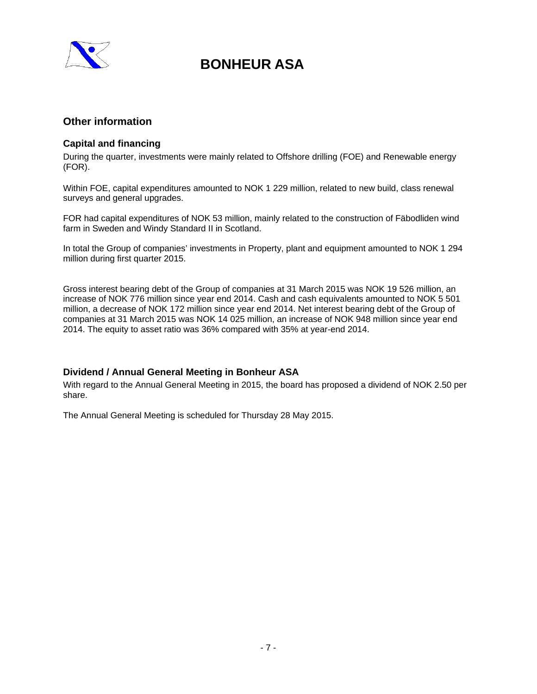

## **Other information**

## **Capital and financing**

During the quarter, investments were mainly related to Offshore drilling (FOE) and Renewable energy (FOR).

Within FOE, capital expenditures amounted to NOK 1 229 million, related to new build, class renewal surveys and general upgrades.

FOR had capital expenditures of NOK 53 million, mainly related to the construction of Fäbodliden wind farm in Sweden and Windy Standard II in Scotland.

In total the Group of companies' investments in Property, plant and equipment amounted to NOK 1 294 million during first quarter 2015.

Gross interest bearing debt of the Group of companies at 31 March 2015 was NOK 19 526 million, an increase of NOK 776 million since year end 2014. Cash and cash equivalents amounted to NOK 5 501 million, a decrease of NOK 172 million since year end 2014. Net interest bearing debt of the Group of companies at 31 March 2015 was NOK 14 025 million, an increase of NOK 948 million since year end 2014. The equity to asset ratio was 36% compared with 35% at year-end 2014.

### **Dividend / Annual General Meeting in Bonheur ASA**

With regard to the Annual General Meeting in 2015, the board has proposed a dividend of NOK 2.50 per share.

The Annual General Meeting is scheduled for Thursday 28 May 2015.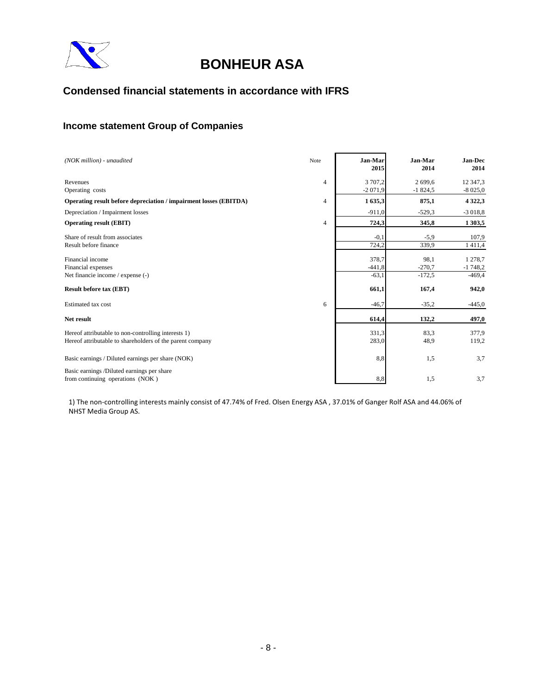

## **Condensed financial statements in accordance with IFRS**

## **Income statement Group of Companies**

| (NOK million) - unaudited                                         | Note | Jan-Mar<br>2015     | Jan-Mar<br>2014      | Jan-Dec<br>2014       |
|-------------------------------------------------------------------|------|---------------------|----------------------|-----------------------|
| Revenues<br>Operating costs                                       | 4    | 3707.2<br>$-2071,9$ | 2 699.6<br>$-1824,5$ | 12 347,3<br>$-8025,0$ |
| Operating result before depreciation / impairment losses (EBITDA) | 4    | 1635,3              | 875,1                | 4 3 2 2, 3            |
| Depreciation / Impairment losses                                  |      | $-911,0$            | $-529,3$             | $-3018,8$             |
| <b>Operating result (EBIT)</b>                                    | 4    | 724,3               | 345,8                | 1 303,5               |
| Share of result from associates                                   |      | $-0,1$              | $-5,9$               | 107.9                 |
| Result before finance                                             |      | 724,2               | 339,9                | 1411,4                |
| Financial income                                                  |      | 378,7               | 98,1                 | 1 278,7               |
| Financial expenses                                                |      | $-441,8$            | $-270,7$             | $-1748,2$             |
| Net financie income / expense (-)                                 |      | $-63.1$             | $-172.5$             | $-469,4$              |
| <b>Result before tax (EBT)</b>                                    |      | 661,1               | 167,4                | 942,0                 |
| Estimated tax cost                                                | 6    | $-46,7$             | $-35,2$              | $-445,0$              |
| Net result                                                        |      | 614,4               | 132,2                | 497,0                 |
| Hereof attributable to non-controlling interests 1)               |      | 331,3               | 83,3                 | 377,9                 |
| Hereof attributable to shareholders of the parent company         |      | 283,0               | 48,9                 | 119,2                 |
| Basic earnings / Diluted earnings per share (NOK)                 |      | 8,8                 | 1,5                  | 3,7                   |
| Basic earnings /Diluted earnings per share                        |      |                     |                      |                       |
| from continuing operations (NOK)                                  |      | 8,8                 | 1,5                  | 3,7                   |

1) The non‐controlling interests mainly consist of 47.74% of Fred. Olsen Energy ASA , 37.01% of Ganger Rolf ASA and 44.06% of NHST Media Group AS.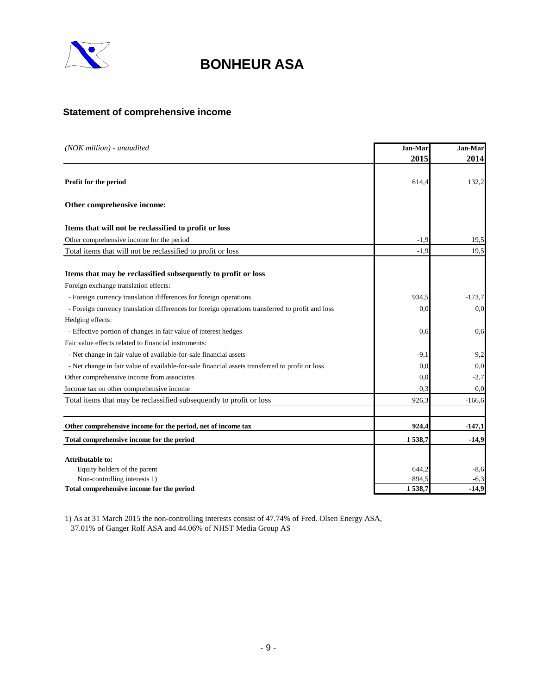

## **Statement of comprehensive income**

| (NOK million) - unaudited                                                                        |        | Jan-Mar  |
|--------------------------------------------------------------------------------------------------|--------|----------|
|                                                                                                  | 2015   | 2014     |
| Profit for the period                                                                            | 614,4  | 132,2    |
| Other comprehensive income:                                                                      |        |          |
| Items that will not be reclassified to profit or loss                                            |        |          |
| Other comprehensive income for the period                                                        | $-1,9$ | 19,5     |
| Total items that will not be reclassified to profit or loss                                      | $-1.9$ | 19,5     |
| Items that may be reclassified subsequently to profit or loss                                    |        |          |
| Foreign exchange translation effects:                                                            |        |          |
| - Foreign currency translation differences for foreign operations                                | 934,5  | $-173.7$ |
| - Foreign currency translation differences for foreign operations transferred to profit and loss | 0,0    | 0,0      |
| Hedging effects:                                                                                 |        |          |
| - Effective portion of changes in fair value of interest hedges                                  | 0.6    | 0.6      |
| Fair value effects related to financial instruments:                                             |        |          |
| - Net change in fair value of available-for-sale financial assets                                | $-9.1$ | 9,2      |
| - Net change in fair value of available-for-sale financial assets transferred to profit or loss  | 0.0    | 0.0      |
| Other comprehensive income from associates                                                       | 0,0    | $-2,7$   |
| Income tax on other comprehensive income                                                         | 0,3    | 0,0      |
| Total items that may be reclassified subsequently to profit or loss                              | 926,3  | $-166,6$ |
|                                                                                                  |        |          |
| Other comprehensive income for the period, net of income tax                                     | 924,4  | $-147,1$ |
| Total comprehensive income for the period                                                        | 1538,7 | $-14,9$  |
| <b>Attributable to:</b>                                                                          |        |          |
| Equity holders of the parent                                                                     | 644,2  | $-8,6$   |
| Non-controlling interests 1)                                                                     | 894,5  | $-6,3$   |
| Total comprehensive income for the period                                                        | 1538,7 | $-14,9$  |

1) As at 31 March 2015 the non-controlling interests consist of 47.74% of Fred. Olsen Energy ASA, 37.01% of Ganger Rolf ASA and 44.06% of NHST Media Group AS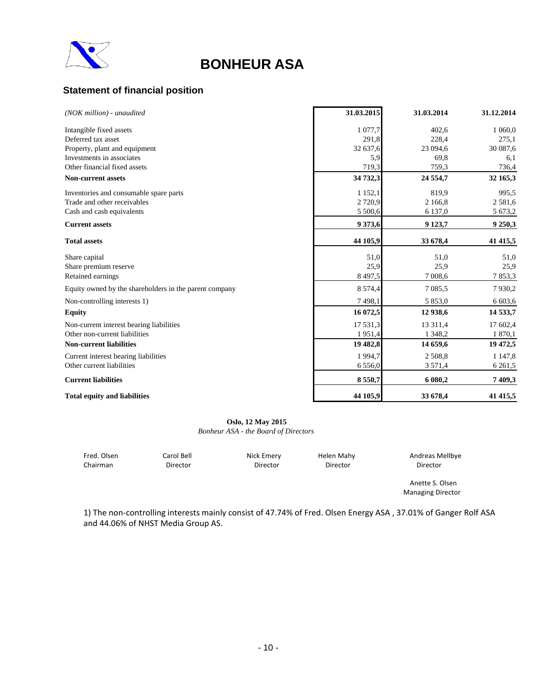

## **Statement of financial position**

| (NOK million) - unaudited                              | 31.03.2015  | 31.03.2014  | 31.12.2014  |
|--------------------------------------------------------|-------------|-------------|-------------|
| Intangible fixed assets                                | 1 077,7     | 402,6       | 1 060,0     |
| Deferred tax asset                                     | 291,8       | 228,4       | 275,1       |
| Property, plant and equipment                          | 32 637,6    | 23 094,6    | 30 087,6    |
| Investments in associates                              | 5,9         | 69.8        | 6,1         |
| Other financial fixed assets                           | 719,3       | 759,3       | 736,4       |
| <b>Non-current assets</b>                              | 34 732,3    | 24 554,7    | 32 165,3    |
| Inventories and consumable spare parts                 | 1 1 5 2 , 1 | 819,9       | 995,5       |
| Trade and other receivables                            | 2 7 2 0,9   | 2 166,8     | 2581,6      |
| Cash and cash equivalents                              | 5 500,6     | 6 137,0     | 5 673,2     |
| <b>Current assets</b>                                  | 9 3 7 3, 6  | 9 1 23,7    | 9 250,3     |
| <b>Total assets</b>                                    | 44 105,9    | 33 678,4    | 41 415,5    |
| Share capital                                          | 51,0        | 51,0        | 51,0        |
| Share premium reserve                                  | 25,9        | 25,9        | 25,9        |
| Retained earnings                                      | 8 4 9 7, 5  | 7 0 0 8,6   | 7 853,3     |
| Equity owned by the shareholders in the parent company | 8 5 7 4 , 4 | 7 0 8 5 .5  | 7930,2      |
| Non-controlling interests 1)                           | 7498,1      | 5 8 5 3 , 0 | 6 603,6     |
| <b>Equity</b>                                          | 16 072,5    | 12 938,6    | 14 533,7    |
| Non-current interest bearing liabilities               | 17 531,3    | 13 3 11,4   | 17 602,4    |
| Other non-current liabilities                          | 1951,4      | 1 3 4 8 , 2 | 1 870,1     |
| <b>Non-current liabilities</b>                         | 19 482,8    | 14 659,6    | 19 472,5    |
| Current interest bearing liabilities                   | 1994,7      | 2 508,8     | 1 1 4 7 , 8 |
| Other current liabilities                              | 6 5 5 6,0   | 3 571,4     | 6 2 6 1,5   |
| <b>Current liabilities</b>                             | 8550,7      | 6 080,2     | 7 409,3     |
| <b>Total equity and liabilities</b>                    | 44 105,9    | 33 678,4    | 41 415,5    |

**Oslo, 12 May 2015** *Bonheur ASA - the Board of Directors*

| Fred. Olsen | Carol Bell | Nick Emery | Helen Mahy | Andreas Mellbye |
|-------------|------------|------------|------------|-----------------|
| Chairman    | Director   | Director   | Director   | Director        |

Anette S. Olsen Managing Director

1) The non‐controlling interests mainly consist of 47.74% of Fred. Olsen Energy ASA , 37.01% of Ganger Rolf ASA and 44.06% of NHST Media Group AS.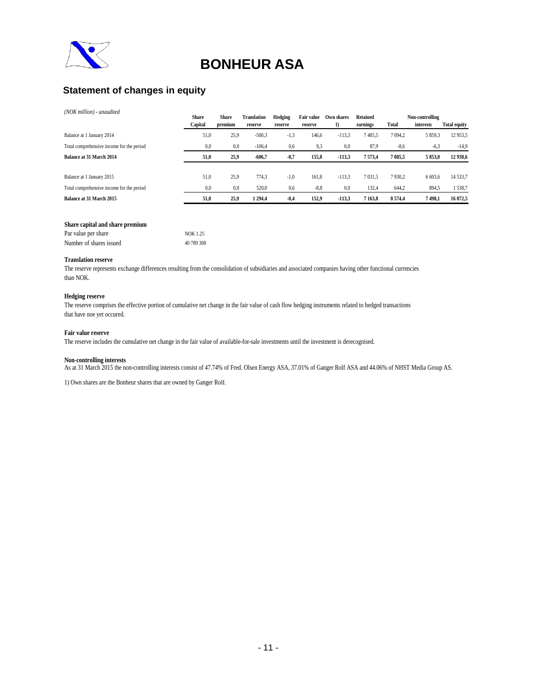

## **Statement of changes in equity**

#### *(NOK million) - unaudited*

|                                           | <b>Share</b> | Share   | Translation | Hedging | Fair value | Own shares | <b>Retained</b> |            | Non-controlling |                     |
|-------------------------------------------|--------------|---------|-------------|---------|------------|------------|-----------------|------------|-----------------|---------------------|
|                                           | Capital      | premium | reserve     | reserve | reserve    | 1)         | earnings        | Total      | interests       | <b>Total equity</b> |
| Balance at 1 January 2014                 | 51,0         | 25,9    | $-500,3$    | $-1,3$  | 146,6      | $-113,3$   | 7485,5          | 7 0 9 4 .2 | 5 8 5 9 3       | 12 9 53, 5          |
| Total comprehensive income for the period | 0,0          | 0.0     | $-106,4$    | 0.6     | 9,3        | 0,0        | 87,9            | $-8,6$     | $-6.3$          | $-14,9$             |
| <b>Balance at 31 March 2014</b>           | 51,0         | 25,9    | $-606.7$    | $-0,7$  | 155,8      | $-113.3$   | 7573.4          | 7 085,5    | 5853,0          | 12 938,6            |
| Balance at 1 January 2015                 | 51,0         | 25,9    | 774,3       | $-1,0$  | 161,8      | $-113,3$   | 7 0 3 1 .5      | 7930,2     | 6 603,6         | 14 533,7            |
| Total comprehensive income for the period | 0,0          | 0.0     | 520,0       | 0.6     | $-8.8$     | 0,0        | 132,4           | 644,2      | 894,5           | 1538,7              |
| Balance at 31 March 2015                  | 51,0         | 25,9    | 1294.4      | $-0,4$  | 152,9      | $-113.3$   | 7 1 6 3 .8      | 8574,4     | 7498.1          | 16 072,5            |

#### **Share capital and share premium**

| Par value per share     | NOK 1.25   |
|-------------------------|------------|
| Number of shares issued | 40 789 308 |

#### **Translation reserve**

The reserve represents exchange differences resulting from the consolidation of subsidiaries and associated companies having other functional currencies than NOK.

#### **Hedging reserve**

The reserve comprises the effective portion of cumulative net change in the fair value of cash flow hedging instruments related to hedged transactions that have noe yet occured.

#### **Fair value reserve**

The reserve includes the cumulative net change in the fair value of available-for-sale investments until the investment is derecognised.

#### **Non-controlling interests**

As at 31 March 2015 the non-controlling interests consist of 47.74% of Fred. Olsen Energy ASA, 37.01% of Ganger Rolf ASA and 44.06% of NHST Media Group AS.

1) Own shares are the Bonheur shares that are owned by Ganger Rolf.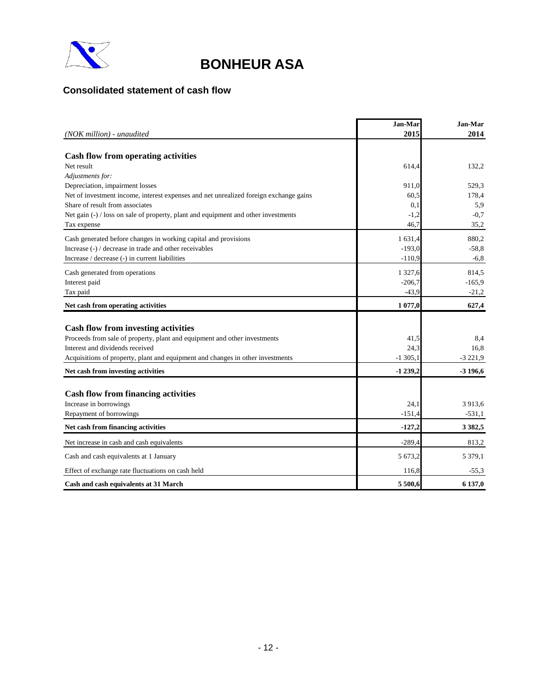

## **Consolidated statement of cash flow**

|                                                                                       | Jan-Mar          | Jan-Mar     |
|---------------------------------------------------------------------------------------|------------------|-------------|
| $(NOK$ million $)$ - unaudited                                                        | 2015             | 2014        |
|                                                                                       |                  |             |
| <b>Cash flow from operating activities</b><br>Net result                              | 614,4            | 132.2       |
| Adjustments for:                                                                      |                  |             |
| Depreciation, impairment losses                                                       | 911,0            | 529.3       |
| Net of investment income, interest expenses and net unrealized foreign exchange gains | 60,5             | 178,4       |
| Share of result from associates                                                       | 0,1              | 5,9         |
| Net gain (-) / loss on sale of property, plant and equipment and other investments    | $-1,2$           | $-0.7$      |
| Tax expense                                                                           | 46,7             | 35,2        |
| Cash generated before changes in working capital and provisions                       | 1 631,4          | 880,2       |
| Increase (-) / decrease in trade and other receivables                                | $-193,0$         | $-58,8$     |
| Increase / decrease (-) in current liabilities                                        | $-110.9$         | $-6,8$      |
| Cash generated from operations                                                        | 1 3 2 7 , 6      | 814,5       |
| Interest paid                                                                         | $-206,7$         | $-165,9$    |
| Tax paid                                                                              | $-43,9$          | $-21,2$     |
| Net cash from operating activities                                                    | 1 077,0          | 627,4       |
|                                                                                       |                  |             |
| <b>Cash flow from investing activities</b>                                            |                  |             |
| Proceeds from sale of property, plant and equipment and other investments             | 41,5             | 8,4         |
| Interest and dividends received                                                       | 24,3             | 16.8        |
| Acquisitions of property, plant and equipment and changes in other investments        | $-1305,1$        | $-3221,9$   |
| Net cash from investing activities                                                    | $-1239,2$        | $-3196,6$   |
|                                                                                       |                  |             |
| <b>Cash flow from financing activities</b>                                            |                  |             |
| Increase in borrowings                                                                | 24,1<br>$-151.4$ | 3 913,6     |
| Repayment of borrowings                                                               |                  | $-531,1$    |
| Net cash from financing activities                                                    | $-127,2$         | 3 3 8 2 , 5 |
| Net increase in cash and cash equivalents                                             | $-289.4$         | 813.2       |
| Cash and cash equivalents at 1 January                                                | 5 673,2          | 5 3 7 9 1   |
| Effect of exchange rate fluctuations on cash held                                     | 116.8            | $-55,3$     |
| Cash and cash equivalents at 31 March                                                 | 5 500,6          | 6 137,0     |

 $\bar{1}$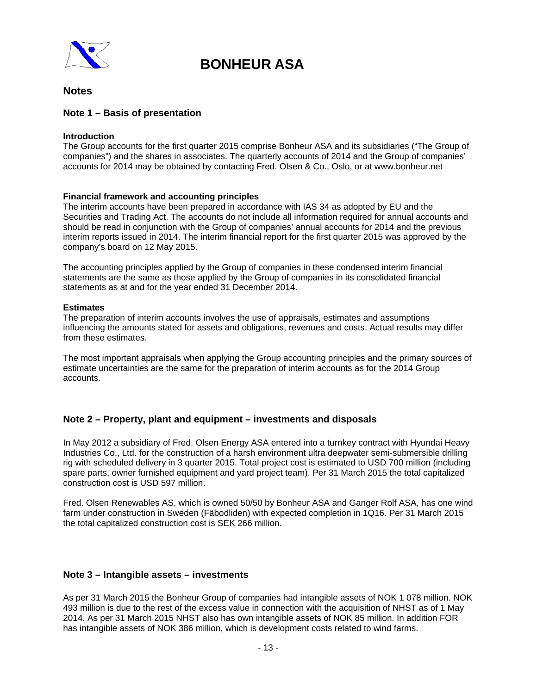

## **Notes**

### **Note 1 – Basis of presentation**

### **Introduction**

The Group accounts for the first quarter 2015 comprise Bonheur ASA and its subsidiaries ("The Group of companies") and the shares in associates. The quarterly accounts of 2014 and the Group of companies' accounts for 2014 may be obtained by contacting Fred. Olsen & Co., Oslo, or at www.bonheur.net

### **Financial framework and accounting principles**

The interim accounts have been prepared in accordance with IAS 34 as adopted by EU and the Securities and Trading Act. The accounts do not include all information required for annual accounts and should be read in conjunction with the Group of companies' annual accounts for 2014 and the previous interim reports issued in 2014. The interim financial report for the first quarter 2015 was approved by the company's board on 12 May 2015.

The accounting principles applied by the Group of companies in these condensed interim financial statements are the same as those applied by the Group of companies in its consolidated financial statements as at and for the year ended 31 December 2014.

### **Estimates**

The preparation of interim accounts involves the use of appraisals, estimates and assumptions influencing the amounts stated for assets and obligations, revenues and costs. Actual results may differ from these estimates.

The most important appraisals when applying the Group accounting principles and the primary sources of estimate uncertainties are the same for the preparation of interim accounts as for the 2014 Group accounts.

### **Note 2 – Property, plant and equipment – investments and disposals**

In May 2012 a subsidiary of Fred. Olsen Energy ASA entered into a turnkey contract with Hyundai Heavy Industries Co., Ltd. for the construction of a harsh environment ultra deepwater semi-submersible drilling rig with scheduled delivery in 3 quarter 2015. Total project cost is estimated to USD 700 million (including spare parts, owner furnished equipment and yard project team). Per 31 March 2015 the total capitalized construction cost is USD 597 million.

Fred. Olsen Renewables AS, which is owned 50/50 by Bonheur ASA and Ganger Rolf ASA, has one wind farm under construction in Sweden (Fäbodliden) with expected completion in 1Q16. Per 31 March 2015 the total capitalized construction cost is SEK 266 million.

### **Note 3 – Intangible assets – investments**

As per 31 March 2015 the Bonheur Group of companies had intangible assets of NOK 1 078 million. NOK 493 million is due to the rest of the excess value in connection with the acquisition of NHST as of 1 May 2014. As per 31 March 2015 NHST also has own intangible assets of NOK 85 million. In addition FOR has intangible assets of NOK 386 million, which is development costs related to wind farms.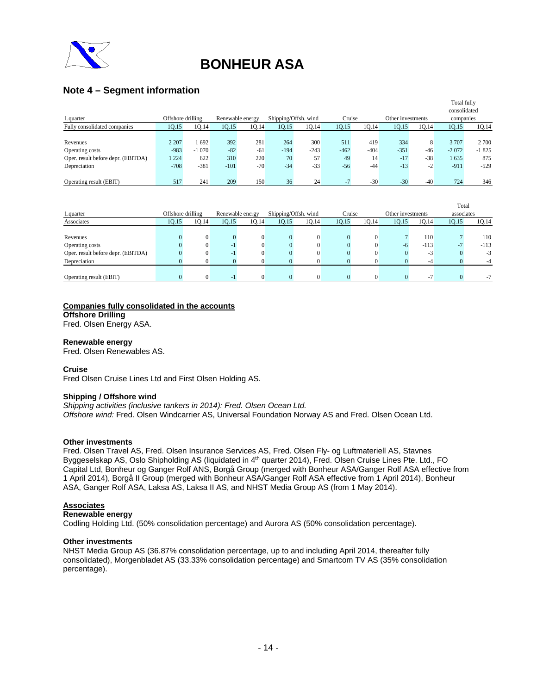

## **Note 4 – Segment information**

|                                    |                   |         |                  |       |                      |        |        |        |                   |       | Total fully  |         |
|------------------------------------|-------------------|---------|------------------|-------|----------------------|--------|--------|--------|-------------------|-------|--------------|---------|
|                                    |                   |         |                  |       |                      |        |        |        |                   |       | consolidated |         |
| 1.quarter                          | Offshore drilling |         | Renewable energy |       | Shipping/Offsh. wind |        | Cruise |        | Other investments |       | companies    |         |
| Fully consolidated companies       | 10.15             | 10.14   | 10.15            | 10.14 | 10.15                | 10.14  | 10.15  | 10.14  | 10.15             | 10.14 | 1Q.15        | 1Q.14   |
|                                    |                   |         |                  |       |                      |        |        |        |                   |       |              |         |
| Revenues                           | 2 2 0 7           | 692     | 392              | 281   | 264                  | 300    | 511    | 419    | 334               | 8     | 3707         | 2 700   |
| Operating costs                    | $-983$            | $-1070$ | $-82$            | $-61$ | $-194$               | $-243$ | $-462$ | $-404$ | $-351$            | $-46$ | $-2072$      | $-1825$ |
| Oper. result before depr. (EBITDA) | 1224              | 622     | 310              | 220   | 70                   | 57     | 49     | 14     | $-17$             | $-38$ | 1635         | 875     |
| Depreciation                       | $-708$            | $-381$  | $-101$           | $-70$ | $-34$                | $-33$  | $-56$  | $-44$  | $-13$             | $-2$  | $-911$       | $-529$  |
|                                    |                   |         |                  |       |                      |        |        |        |                   |       |              |         |
| Operating result (EBIT)            | 517               | 241     | 209              | 150   | 36                   | 24     |        | $-30$  | $-30$             | $-40$ | 724          | 346     |

|                                    |                   |       |                  |       |                      |       |        |          |                   |        | Total      |        |
|------------------------------------|-------------------|-------|------------------|-------|----------------------|-------|--------|----------|-------------------|--------|------------|--------|
| 1.quarter                          | Offshore drilling |       | Renewable energy |       | Shipping/Offsh. wind |       | Cruise |          | Other investments |        | associates |        |
| Associates                         | 10.15             | 10.14 | 10.15            | 10.14 | 10.15                | 10.14 | 10.15  | 10.14    | 10.15             | 10.14  | 10.15      | 1Q.14  |
|                                    |                   |       |                  |       |                      |       |        |          |                   |        |            |        |
| Revenues                           |                   |       |                  |       |                      |       |        | $\theta$ |                   | 110    |            | 110    |
| Operating costs                    |                   |       | - 1              |       |                      |       |        | $\Omega$ |                   | $-113$ |            | $-113$ |
| Oper. result before depr. (EBITDA) |                   |       | - 1              |       |                      |       |        |          |                   | -3     |            | $-3$   |
| Depreciation                       |                   |       |                  |       |                      |       |        |          |                   |        |            |        |
|                                    |                   |       |                  |       |                      |       |        |          |                   |        |            |        |
| Operating result (EBIT)            |                   |       | - 1              |       |                      |       |        |          |                   | ۰.     |            | -7     |

## **Companies fully consolidated in the accounts**

**Offshore Drilling** Fred. Olsen Energy ASA.

**Renewable energy** 

Fred. Olsen Renewables AS.

#### **Cruise**

Fred Olsen Cruise Lines Ltd and First Olsen Holding AS.

#### **Shipping / Offshore wind**

*Shipping activities (inclusive tankers in 2014): Fred. Olsen Ocean Ltd. Offshore wind:* Fred. Olsen Windcarrier AS, Universal Foundation Norway AS and Fred. Olsen Ocean Ltd.

#### **Other investments**

Fred. Olsen Travel AS, Fred. Olsen Insurance Services AS, Fred. Olsen Fly- og Luftmateriell AS, Stavnes Byggeselskap AS, Oslo Shipholding AS (liquidated in 4<sup>th</sup> quarter 2014), Fred. Olsen Cruise Lines Pte. Ltd., FO Capital Ltd, Bonheur og Ganger Rolf ANS, Borgå Group (merged with Bonheur ASA/Ganger Rolf ASA effective from 1 April 2014), Borgå II Group (merged with Bonheur ASA/Ganger Rolf ASA effective from 1 April 2014), Bonheur ASA, Ganger Rolf ASA, Laksa AS, Laksa II AS, and NHST Media Group AS (from 1 May 2014).

#### **Associates**

#### **Renewable energy**

Codling Holding Ltd. (50% consolidation percentage) and Aurora AS (50% consolidation percentage).

#### **Other investments**

NHST Media Group AS (36.87% consolidation percentage, up to and including April 2014, thereafter fully consolidated), Morgenbladet AS (33.33% consolidation percentage) and Smartcom TV AS (35% consolidation percentage).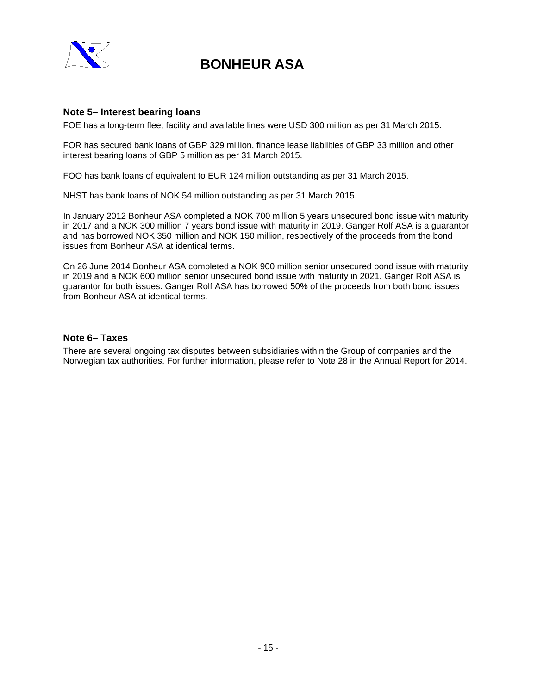

### **Note 5– Interest bearing loans**

FOE has a long-term fleet facility and available lines were USD 300 million as per 31 March 2015.

FOR has secured bank loans of GBP 329 million, finance lease liabilities of GBP 33 million and other interest bearing loans of GBP 5 million as per 31 March 2015.

FOO has bank loans of equivalent to EUR 124 million outstanding as per 31 March 2015.

NHST has bank loans of NOK 54 million outstanding as per 31 March 2015.

In January 2012 Bonheur ASA completed a NOK 700 million 5 years unsecured bond issue with maturity in 2017 and a NOK 300 million 7 years bond issue with maturity in 2019. Ganger Rolf ASA is a guarantor and has borrowed NOK 350 million and NOK 150 million, respectively of the proceeds from the bond issues from Bonheur ASA at identical terms.

On 26 June 2014 Bonheur ASA completed a NOK 900 million senior unsecured bond issue with maturity in 2019 and a NOK 600 million senior unsecured bond issue with maturity in 2021. Ganger Rolf ASA is guarantor for both issues. Ganger Rolf ASA has borrowed 50% of the proceeds from both bond issues from Bonheur ASA at identical terms.

### **Note 6– Taxes**

There are several ongoing tax disputes between subsidiaries within the Group of companies and the Norwegian tax authorities. For further information, please refer to Note 28 in the Annual Report for 2014.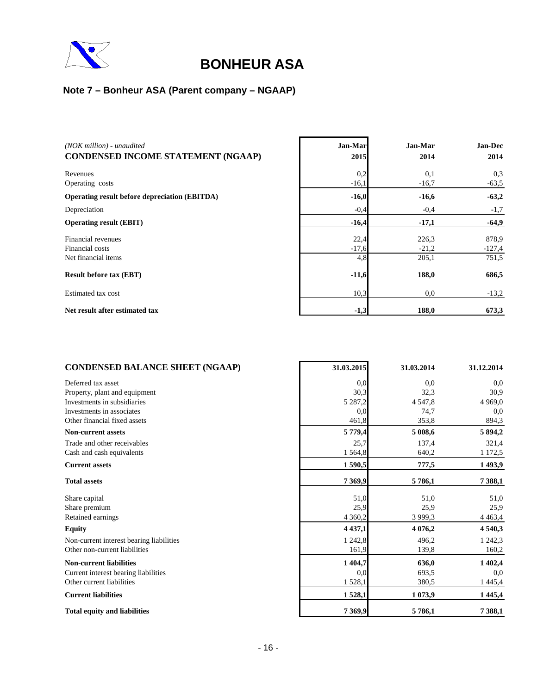

## **Note 7 – Bonheur ASA (Parent company – NGAAP)**

| $(NOK$ million $)$ - unaudited                       | Jan-Mar | Jan-Mar | <b>Jan-Dec</b> |
|------------------------------------------------------|---------|---------|----------------|
| <b>CONDENSED INCOME STATEMENT (NGAAP)</b>            | 2015    | 2014    | 2014           |
| Revenues                                             | 0,2     | 0,1     | 0.3            |
| Operating costs                                      | $-16,1$ | $-16,7$ | $-63,5$        |
| <b>Operating result before depreciation (EBITDA)</b> | $-16,0$ | $-16,6$ | $-63,2$        |
| Depreciation                                         | $-0,4$  | $-0.4$  | $-1,7$         |
| <b>Operating result (EBIT)</b>                       | $-16,4$ | $-17,1$ | $-64,9$        |
| Financial revenues                                   | 22,4    | 226,3   | 878.9          |
| Financial costs                                      | $-17,6$ | $-21,2$ | $-127,4$       |
| Net financial items                                  | 4,8     | 205,1   | 751,5          |
| <b>Result before tax (EBT)</b>                       | $-11,6$ | 188,0   | 686,5          |
| Estimated tax cost                                   | 10,3    | 0,0     | $-13,2$        |
| Net result after estimated tax                       | $-1,3$  | 188,0   | 673,3          |

4

| <b>CONDENSED BALANCE SHEET (NGAAP)</b>   | 31.03.2015  | 31.03.2014 | 31.12.2014  |
|------------------------------------------|-------------|------------|-------------|
| Deferred tax asset                       | 0,0         | 0.0        | 0,0         |
| Property, plant and equipment            | 30,3        | 32,3       | 30,9        |
| Investments in subsidiaries              | 5 2 8 7 , 2 | 4 5 4 7, 8 | 4 9 6 9.0   |
| Investments in associates                | 0.0         | 74,7       | 0,0         |
| Other financial fixed assets             | 461,8       | 353,8      | 894,3       |
| <b>Non-current assets</b>                | 5 779,4     | 5 008,6    | 5 894,2     |
| Trade and other receivables              | 25,7        | 137,4      | 321,4       |
| Cash and cash equivalents                | 1 5 6 4, 8  | 640,2      | 1 1 7 2, 5  |
| <b>Current assets</b>                    | 1590,5      | 777,5      | 1493,9      |
| <b>Total assets</b>                      | 7 3 6 9, 9  | 5786,1     | 7 3 8 8, 1  |
| Share capital                            | 51,0        | 51,0       | 51,0        |
| Share premium                            | 25,9        | 25,9       | 25,9        |
| Retained earnings                        | 4 3 6 0, 2  | 3 9 9 9.3  | 4 4 6 3, 4  |
| <b>Equity</b>                            | 4 4 3 7 , 1 | 4 0 7 6, 2 | 4 5 4 0 , 3 |
| Non-current interest bearing liabilities | 1 242,8     | 496,2      | 1 242,3     |
| Other non-current liabilities            | 161,9       | 139,8      | 160,2       |
| <b>Non-current liabilities</b>           | 1 4 0 4 , 7 | 636,0      | 1 402,4     |
| Current interest bearing liabilities     | 0,0         | 693,5      | 0,0         |
| Other current liabilities                | 1528,1      | 380,5      | 1 4 4 5, 4  |
| <b>Current liabilities</b>               | 1528,1      | 1073,9     | 1 4 4 5 , 4 |
| <b>Total equity and liabilities</b>      | 7 3 6 9, 9  | 5786,1     | 7 3 8 8, 1  |